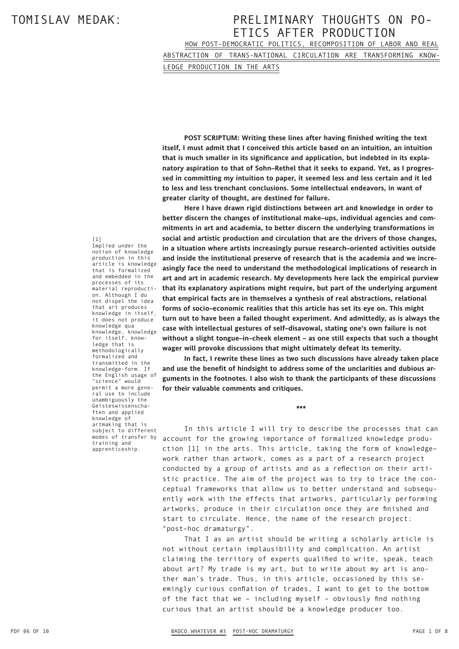HOW POST-DEMOCRATIC POLITICS, RECOMPOSITION OF LABOR AND REAL ABSTRACTION OF TRANS-NATIONAL CIRCULATION ARE TRANSFORMING KNOW-

LEDGE PRODUCTION IN THE ARTS

**POST SCRIPTUM: Writing these lines after having finished writing the text itself, I must admit that I conceived this article based on an intuition, an intuition that is much smaller in its significance and application, but indebted in its explanatory aspiration to that of Sohn–Rethel that it seeks to expand. Yet, as I progressed in committing my intuition to paper, it seemed less and less certain and it led to less and less trenchant conclusions. Some intellectual endeavors, in want of greater clarity of thought, are destined for failure.** 

**Here I have drawn rigid distinctions between art and knowledge in order to better discern the changes of institutional make–ups, individual agencies and commitments in art and academia, to better discern the underlying transformations in social and artistic production and circulation that are the drivers of those changes, in a situation where artists increasingly pursue research–oriented activities outside and inside the institutional preserve of research that is the academia and we increasingly face the need to understand the methodological implications of research in art and art in academic research. My developments here lack the empirical purview that its explanatory aspirations might require, but part of the underlying argument that empirical facts are in themselves a synthesis of real abstractions, relational forms of socio–economic realities that this article has set its eye on. This might turn out to have been a failed thought experiment. And admittedly, as is always the case with intellectual gestures of self–disavowal, stating one's own failure is not without a slight tongue–in–cheek element – as one still expects that such a thought wager will provoke discussions that might ultimately defeat its temerity.** 

**In fact, I rewrite these lines as two such discussions have already taken place and use the benefit of hindsight to address some of the unclarities and dubious arguments in the footnotes. I also wish to thank the participants of these discussions for their valuable comments and critiques.**

**\*\*\*** 

In this article I will try to describe the processes that can account for the growing importance of formalized knowledge production [1] in the arts. This article, taking the form of knowledge– work rather than artwork, comes as a part of a research project conducted by a group of artists and as a reflection on their artistic practice. The aim of the project was to try to trace the conceptual frameworks that allow us to better understand and subsequently work with the effects that artworks, particularly performing artworks, produce in their circulation once they are finished and start to circulate. Hence, the name of the research project: "post–hoc dramaturgy".

That I as an artist should be writing a scholarly article is not without certain implausibility and complication. An artist claiming the territory of experts qualified to write, speak, teach about art? My trade is my art, but to write about my art is another man's trade. Thus, in this article, occasioned by this seemingly curious conflation of trades, I want to get to the bottom of the fact that we – including myself – obviously find nothing curious that an artist should be a knowledge producer too.

[1]

Implied under the notion of knowledge production in this article is knowledge that is formalized and embedded in the processes of its material reproduction. Although I do not dispel the idea that art produces knowledge in itself, it does not produce knowledge qua knowledge, knowledge for itself, knowledge that is methodologically formalized and transmitted in the knowledge-form. If the English usage of "science" would permit a more general use to include unambiguously the Geisteswissenschaften and applied knowledge of artmaking that is subject to different modes of transfer by training and apprenticeship.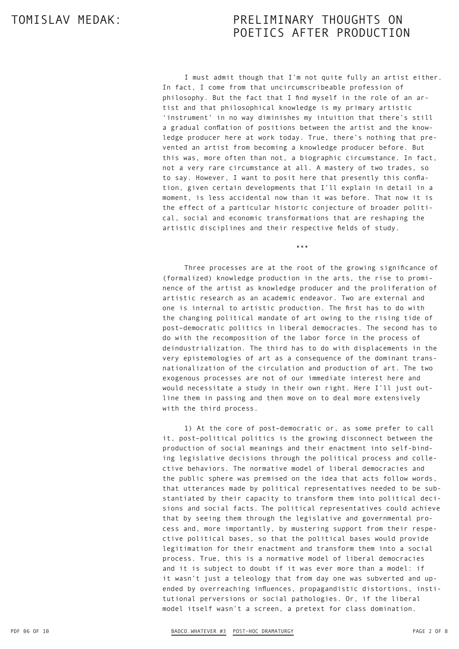I must admit though that I'm not quite fully an artist either. In fact, I come from that uncircumscribeable profession of philosophy. But the fact that I find myself in the role of an artist and that philosophical knowledge is my primary artistic 'instrument' in no way diminishes my intuition that there's still a gradual conflation of positions between the artist and the knowledge producer here at work today. True, there's nothing that prevented an artist from becoming a knowledge producer before. But this was, more often than not, a biographic circumstance. In fact, not a very rare circumstance at all. A mastery of two trades, so to say. However, I want to posit here that presently this conflation, given certain developments that I'll explain in detail in a moment, is less accidental now than it was before. That now it is the effect of a particular historic conjecture of broader political, social and economic transformations that are reshaping the artistic disciplines and their respective fields of study.

Three processes are at the root of the growing significance of (formalized) knowledge production in the arts, the rise to prominence of the artist as knowledge producer and the proliferation of artistic research as an academic endeavor. Two are external and one is internal to artistic production. The first has to do with the changing political mandate of art owing to the rising tide of post–democratic politics in liberal democracies. The second has to do with the recomposition of the labor force in the process of deindustrialization. The third has to do with displacements in the very epistemologies of art as a consequence of the dominant transnationalization of the circulation and production of art. The two exogenous processes are not of our immediate interest here and would necessitate a study in their own right. Here I'll just outline them in passing and then move on to deal more extensively with the third process.

\*\*\*

1) At the core of post–democratic or, as some prefer to call it, post–political politics is the growing disconnect between the production of social meanings and their enactment into self-binding legislative decisions through the political process and collective behaviors. The normative model of liberal democracies and the public sphere was premised on the idea that acts follow words, that utterances made by political representatives needed to be substantiated by their capacity to transform them into political decisions and social facts. The political representatives could achieve that by seeing them through the legislative and governmental process and, more importantly, by mustering support from their respective political bases, so that the political bases would provide legitimation for their enactment and transform them into a social process. True, this is a normative model of liberal democracies and it is subject to doubt if it was ever more than a model: if it wasn't just a teleology that from day one was subverted and upended by overreaching influences, propagandistic distortions, institutional perversions or social pathologies. Or, if the liberal model itself wasn't a screen, a pretext for class domination.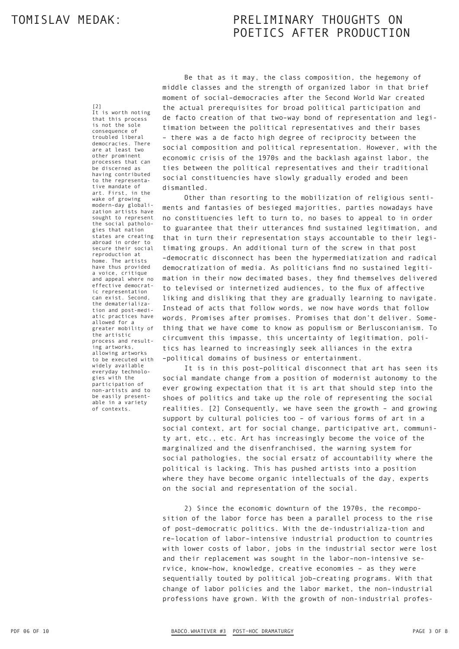[2]

It is worth noting that this process is not the sole consequence of troubled liberal democracies. There are at least two other prominent processes that can be discerned as having contributed to the representative mandate of art. First, in the wake of growing modern-day globalization artists have sought to represent the social pathologies that nation states are creating abroad in order to secure their social reproduction at home. The artists have thus provided a voice, critique and appeal where no effective democratic representation can exist. Second, the dematerialization and post-mediatic practices have allowed for a greater mobility of the artistic process and resulting artworks, allowing artworks to be executed with widely available everyday technologies with the participation of non-artists and to be easily presentable in a variety of contexts.

Be that as it may, the class composition, the hegemony of middle classes and the strength of organized labor in that brief moment of social–democracies after the Second World War created the actual prerequisites for broad political participation and de facto creation of that two–way bond of representation and legitimation between the political representatives and their bases – there was a de facto high degree of reciprocity between the social composition and political representation. However, with the economic crisis of the 1970s and the backlash against labor, the ties between the political representatives and their traditional social constituencies have slowly gradually eroded and been dismantled.

Other than resorting to the mobilization of religious sentiments and fantasies of besieged majorities, parties nowadays have no constituencies left to turn to, no bases to appeal to in order to guarantee that their utterances find sustained legitimation, and that in turn their representation stays accountable to their legitimating groups. An additional turn of the screw in that post –democratic disconnect has been the hypermediatization and radical democratization of media. As politicians find no sustained legitimation in their now decimated bases, they find themselves delivered to televised or internetized audiences, to the flux of affective liking and disliking that they are gradually learning to navigate. Instead of acts that follow words, we now have words that follow words. Promises after promises. Promises that don't deliver. Something that we have come to know as populism or Berlusconianism. To circumvent this impasse, this uncertainty of legitimation, politics has learned to increasingly seek alliances in the extra –political domains of business or entertainment.

It is in this post–political disconnect that art has seen its social mandate change from a position of modernist autonomy to the ever growing expectation that it is art that should step into the shoes of politics and take up the role of representing the social realities. [2] Consequently, we have seen the growth – and growing support by cultural policies too – of various forms of art in a social context, art for social change, participative art, community art, etc., etc. Art has increasingly become the voice of the marginalized and the disenfranchised, the warning system for social pathologies, the social ersatz of accountability where the political is lacking. This has pushed artists into a position where they have become organic intellectuals of the day, experts on the social and representation of the social.

2) Since the economic downturn of the 1970s, the recomposition of the labor force has been a parallel process to the rise of post–democratic politics. With the de-industrializa-tion and re–location of labor–intensive industrial production to countries with lower costs of labor, jobs in the industrial sector were lost and their replacement was sought in the labor–non-intensive service, know–how, knowledge, creative economies – as they were sequentially touted by political job–creating programs. With that change of labor policies and the labor market, the non–industrial professions have grown. With the growth of non-industrial profes-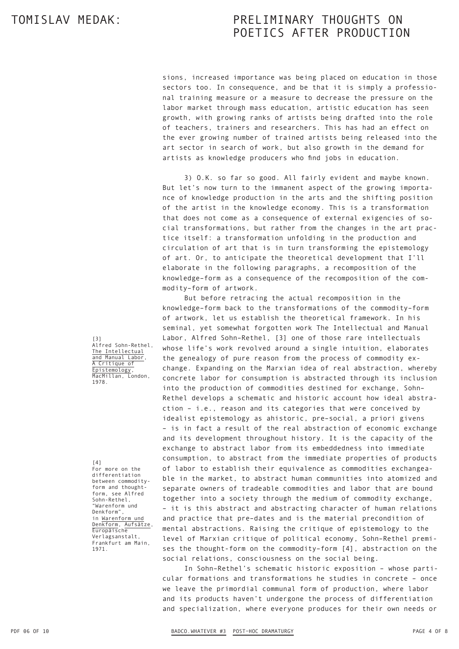sions, increased importance was being placed on education in those sectors too. In consequence, and be that it is simply a professional training measure or a measure to decrease the pressure on the labor market through mass education, artistic education has seen growth, with growing ranks of artists being drafted into the role of teachers, trainers and researchers. This has had an effect on the ever growing number of trained artists being released into the art sector in search of work, but also growth in the demand for artists as knowledge producers who find jobs in education.

3) O.K. so far so good. All fairly evident and maybe known. But let's now turn to the immanent aspect of the growing importance of knowledge production in the arts and the shifting position of the artist in the knowledge economy. This is a transformation that does not come as a consequence of external exigencies of social transformations, but rather from the changes in the art practice itself: a transformation unfolding in the production and circulation of art that is in turn transforming the epistemology of art. Or, to anticipate the theoretical development that I'll elaborate in the following paragraphs, a recomposition of the knowledge–form as a consequence of the recomposition of the commodity–form of artwork.

But before retracing the actual recomposition in the knowledge–form back to the transformations of the commodity–form of artwork, let us establish the theoretical framework. In his seminal, yet somewhat forgotten work The Intellectual and Manual Labor, Alfred Sohn–Rethel, [3] one of those rare intellectuals whose life's work revolved around a single intuition, elaborates the genealogy of pure reason from the process of commodity exchange. Expanding on the Marxian idea of real abstraction, whereby concrete labor for consumption is abstracted through its inclusion into the production of commodities destined for exchange, Sohn– Rethel develops a schematic and historic account how ideal abstraction – i.e., reason and its categories that were conceived by idealist epistemology as ahistoric, pre–social, a priori givens – is in fact a result of the real abstraction of economic exchange and its development throughout history. It is the capacity of the exchange to abstract labor from its embeddedness into immediate consumption, to abstract from the immediate properties of products of labor to establish their equivalence as commodities exchangeable in the market, to abstract human communities into atomized and separate owners of tradeable commodities and labor that are bound together into a society through the medium of commodity exchange, – it is this abstract and abstracting character of human relations and practice that pre–dates and is the material precondition of mental abstractions. Raising the critique of epistemology to the level of Marxian critique of political economy, Sohn–Rethel premises the thought-form on the commodity–form [4], abstraction on the social relations, consciousness on the social being.

In Sohn–Rethel's schematic historic exposition – whose particular formations and transformations he studies in concrete – once we leave the primordial communal form of production, where labor and its products haven't undergone the process of differentiation and specialization, where everyone produces for their own needs or

[3] Alfred Sohn-Rethel, The Intellectual and Manual Labor A Critique of Epistemology, MacMillan, London, 1978.

[4]

For more on the differentiation between commodityform and thoughtform, see Alfred Sohn-Rethel, "Warenform und Denkform", in Warenform und Denkform, Aufsätze, Europäische Verlagsanstalt, Frankfurt am Main, 1971.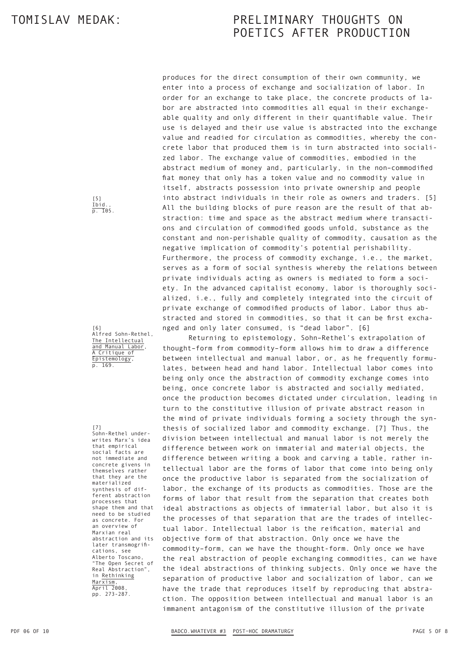produces for the direct consumption of their own community, we enter into a process of exchange and socialization of labor. In order for an exchange to take place, the concrete products of labor are abstracted into commodities all equal in their exchangeable quality and only different in their quantifiable value. Their use is delayed and their use value is abstracted into the exchange value and readied for circulation as commodities, whereby the concrete labor that produced them is in turn abstracted into socialized labor. The exchange value of commodities, embodied in the abstract medium of money and, particularly, in the non–commodified fiat money that only has a token value and no commodity value in itself, abstracts possession into private ownership and people into abstract individuals in their role as owners and traders. [5] All the building blocks of pure reason are the result of that abstraction: time and space as the abstract medium where transactions and circulation of commodified goods unfold, substance as the constant and non-perishable quality of commodity, causation as the negative implication of commodity's potential perishability. Furthermore, the process of commodity exchange, i.e., the market, serves as a form of social synthesis whereby the relations between private individuals acting as owners is mediated to form a society. In the advanced capitalist economy, labor is thoroughly socialized, i.e., fully and completely integrated into the circuit of private exchange of commodified products of labor. Labor thus abstracted and stored in commodities, so that it can be first exchanged and only later consumed, is "dead labor". [6]

Returning to epistemology, Sohn–Rethel's extrapolation of thought–form from commodity–form allows him to draw a difference between intellectual and manual labor, or, as he frequently formulates, between head and hand labor. Intellectual labor comes into being only once the abstraction of commodity exchange comes into being, once concrete labor is abstracted and socially mediated, once the production becomes dictated under circulation, leading in turn to the constitutive illusion of private abstract reason in the mind of private individuals forming a society through the synthesis of socialized labor and commodity exchange. [7] Thus, the division between intellectual and manual labor is not merely the difference between work on immaterial and material objects, the difference between writing a book and carving a table, rather intellectual labor are the forms of labor that come into being only once the productive labor is separated from the socialization of labor, the exchange of its products as commodities. Those are the forms of labor that result from the separation that creates both ideal abstractions as objects of immaterial labor, but also it is the processes of that separation that are the trades of intellectual labor. Intellectual labor is the reification, material and objective form of that abstraction. Only once we have the commodity–form, can we have the thought-form. Only once we have the real abstraction of people exchanging commodities, can we have the ideal abstractions of thinking subjects. Only once we have the separation of productive labor and socialization of labor, can we have the trade that reproduces itself by reproducing that abstraction. The opposition between intellectual and manual labor is an immanent antagonism of the constitutive illusion of the private

[5] Ibid p. 105

[6] Alfred Sohn-Rethel, The Intellectual and Manual Labor, A Critique of Epistemology, p. 169.

[7] Sohn-Rethel underwrites Marx's idea that empirical social facts are not immediate and concrete givens in themselves rather that they are the materialized synthesis of different abstraction processes that shape them and that need to be studied as concrete. For an overview of Marxian real abstraction and its later transmogrifications, see Alberto Toscano, "The Open Secret of Real Abstraction", in Rethinking Marxism, April 2008, pp. 273-287.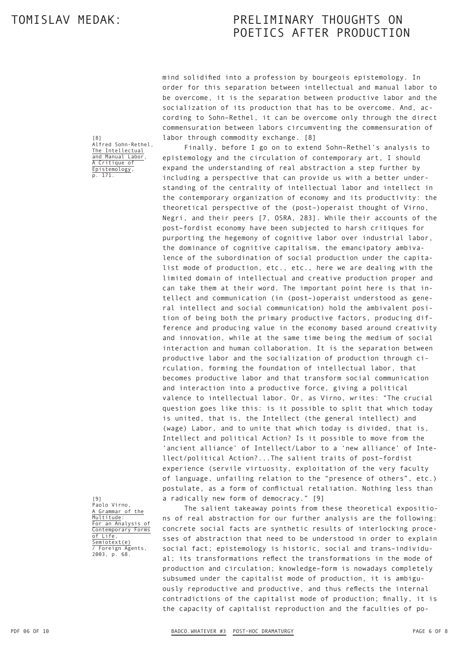[8]

Alfred Sohn-Rethel, The Intellectual and Manual Labor, A Critique of Epistemology, p. 171.

# TOMISLAV MEDAK: PRELIMINARY THOUGHTS ON POETICS AFTER PRODUCTION

mind solidified into a profession by bourgeois epistemology. In order for this separation between intellectual and manual labor to be overcome, it is the separation between productive labor and the socialization of its production that has to be overcome. And, according to Sohn–Rethel, it can be overcome only through the direct commensuration between labors circumventing the commensuration of labor through commodity exchange. [8]

Finally, before I go on to extend Sohn–Rethel's analysis to epistemology and the circulation of contemporary art, I should expand the understanding of real abstraction a step further by including a perspective that can provide us with a better understanding of the centrality of intellectual labor and intellect in the contemporary organization of economy and its productivity: the theoretical perspective of the (post–)operaist thought of Virno, Negri, and their peers [7, OSRA, 283]. While their accounts of the post–fordist economy have been subjected to harsh critiques for purporting the hegemony of cognitive labor over industrial labor, the dominance of cognitive capitalism, the emancipatory ambivalence of the subordination of social production under the capitalist mode of production, etc., etc., here we are dealing with the limited domain of intellectual and creative production proper and can take them at their word. The important point here is that intellect and communication (in (post–)operaist understood as general intellect and social communication) hold the ambivalent position of being both the primary productive factors, producing difference and producing value in the economy based around creativity and innovation, while at the same time being the medium of social interaction and human collaboration. It is the separation between productive labor and the socialization of production through circulation, forming the foundation of intellectual labor, that becomes productive labor and that transform social communication and interaction into a productive force, giving a political valence to intellectual labor. Or, as Virno, writes: "The crucial question goes like this: is it possible to split that which today is united, that is, the Intellect (the general intellect) and (wage) Labor, and to unite that which today is divided, that is, Intellect and political Action? Is it possible to move from the 'ancient alliance' of Intellect/Labor to a 'new alliance' of Intellect/political Action?...The salient traits of post–fordist experience (servile virtuosity, exploitation of the very faculty of language, unfailing relation to the "presence of others", etc.) postulate, as a form of conflictual retaliation. Nothing less than a radically new form of democracy." [9]

[9] Paolo Virno, A Grammar of the Multitude: For an Analysis of Contemporary Forms of Life, Semiotext(e) / Foreign Agents, 2003, p. 68.

The salient takeaway points from these theoretical expositions of real abstraction for our further analysis are the following: concrete social facts are synthetic results of interlocking processes of abstraction that need to be understood in order to explain social fact; epistemology is historic, social and trans–individual; its transformations reflect the transformations in the mode of production and circulation; knowledge–form is nowadays completely subsumed under the capitalist mode of production, it is ambiguously reproductive and productive, and thus reflects the internal contradictions of the capitalist mode of production; finally, it is the capacity of capitalist reproduction and the faculties of po-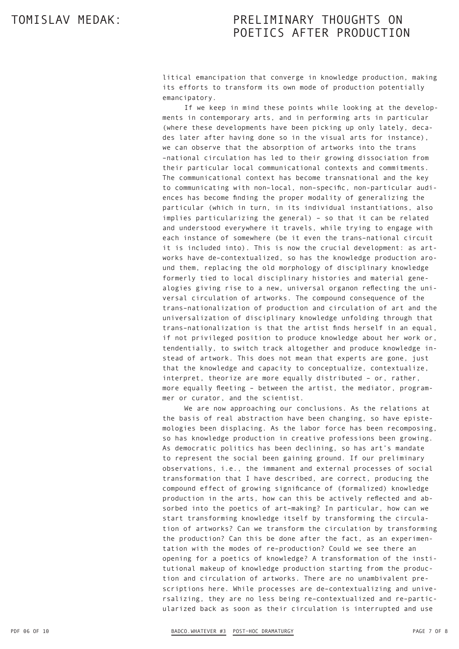litical emancipation that converge in knowledge production, making its efforts to transform its own mode of production potentially emancipatory.

If we keep in mind these points while looking at the developments in contemporary arts, and in performing arts in particular (where these developments have been picking up only lately, decades later after having done so in the visual arts for instance), we can observe that the absorption of artworks into the trans –national circulation has led to their growing dissociation from their particular local communicational contexts and commitments. The communicational context has become transnational and the key to communicating with non–local, non–specific, non-particular audiences has become finding the proper modality of generalizing the particular (which in turn, in its individual instantiations, also implies particularizing the general) – so that it can be related and understood everywhere it travels, while trying to engage with each instance of somewhere (be it even the trans–national circuit it is included into). This is now the crucial development: as artworks have de–contextualized, so has the knowledge production around them, replacing the old morphology of disciplinary knowledge formerly tied to local disciplinary histories and material genealogies giving rise to a new, universal organon reflecting the universal circulation of artworks. The compound consequence of the trans–nationalization of production and circulation of art and the universalization of disciplinary knowledge unfolding through that trans–nationalization is that the artist finds herself in an equal, if not privileged position to produce knowledge about her work or, tendentially, to switch track altogether and produce knowledge instead of artwork. This does not mean that experts are gone, just that the knowledge and capacity to conceptualize, contextualize, interpret, theorize are more equally distributed – or, rather, more equally fleeting – between the artist, the mediator, programmer or curator, and the scientist.

We are now approaching our conclusions. As the relations at the basis of real abstraction have been changing, so have epistemologies been displacing. As the labor force has been recomposing, so has knowledge production in creative professions been growing. As democratic politics has been declining, so has art's mandate to represent the social been gaining ground. If our preliminary observations, i.e., the immanent and external processes of social transformation that I have described, are correct, producing the compound effect of growing significance of (formalized) knowledge production in the arts, how can this be actively reflected and absorbed into the poetics of art–making? In particular, how can we start transforming knowledge itself by transforming the circulation of artworks? Can we transform the circulation by transforming the production? Can this be done after the fact, as an experimentation with the modes of re–production? Could we see there an opening for a poetics of knowledge? A transformation of the institutional makeup of knowledge production starting from the production and circulation of artworks. There are no unambivalent prescriptions here. While processes are de–contextualizing and universalizing, they are no less being re–contextualized and re–particularized back as soon as their circulation is interrupted and use